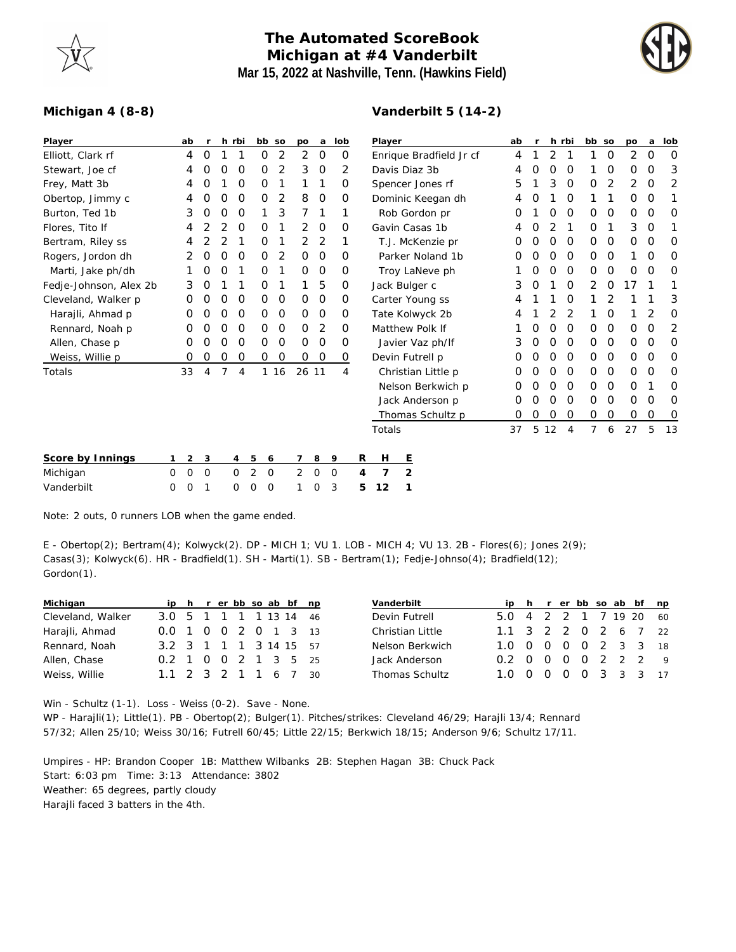

## **The Automated ScoreBook Michigan at #4 Vanderbilt Mar 15, 2022 at Nashville, Tenn. (Hawkins Field)**

**Vanderbilt 5 (14-2)**



## **Michigan 4 (8-8)**

| Player                 |   | ab | $\mathsf{r}$ |   | h rbi       |              | bb so | po       | a           | lob            |   | Player                  |                 |                    |  | ab | r | h rbi |                | bb so    |          | po | a        | lob      |
|------------------------|---|----|--------------|---|-------------|--------------|-------|----------|-------------|----------------|---|-------------------------|-----------------|--------------------|--|----|---|-------|----------------|----------|----------|----|----------|----------|
| Elliott, Clark rf      |   | 4  | 0            |   |             | 0            | 2     | 2        | 0           | 0              |   | Enrique Bradfield Jr cf |                 |                    |  | 4  |   | 2     |                |          | 0        | 2  | 0        | O        |
| Stewart, Joe cf        |   | 4  | 0            | 0 | O           | 0            | 2     | 3        | 0           | 2              |   | Davis Diaz 3b           |                 |                    |  | 4  | 0 | 0     | 0              |          | 0        | 0  | 0        | 3        |
| Frey, Matt 3b          |   | 4  | O            |   | O           | 0            |       |          | 1           | 0              |   | Spencer Jones rf        |                 |                    |  | 5  |   | 3     | 0              | $\Omega$ | 2        | 2  | 0        | 2        |
| Obertop, Jimmy c       |   | 4  | 0            | 0 | O           | 0            | 2     | 8        | $\circ$     | 0              |   |                         |                 | Dominic Keegan dh  |  | 4  | O |       | 0              |          |          | 0  | 0        |          |
| Burton, Ted 1b         |   | 3  | 0            | O | O           |              | 3     | 7        | $\mathbf 1$ | 1              |   |                         |                 | Rob Gordon pr      |  | Ο  |   | Ο     | O              | $\Omega$ | $\Omega$ | 0  | $\Omega$ | O        |
| Flores, Tito If        |   | 4  | 2            | 2 | O           | 0            | 1     | 2        | $\circ$     | 0              |   |                         |                 | Gavin Casas 1b     |  | 4  | 0 | 2     | 1              | O        |          | 3  | 0        |          |
| Bertram, Riley ss      |   | 4  |              |   |             | 0            |       | 2        | 2           |                |   |                         |                 | T.J. McKenzie pr   |  | Ο  | Ο | 0     | 0              | 0        | 0        | 0  | 0        | O        |
| Rogers, Jordon dh      |   |    | 0            | 0 | 0           | 0            | 2     | $\Omega$ | 0           | $\Omega$       |   |                         |                 | Parker Noland 1b   |  | Ο  | 0 | Ο     | 0              | $\Omega$ | $\Omega$ |    | $\Omega$ | O        |
| Marti, Jake ph/dh      |   |    | 0            | O |             | 0            |       | 0        | $\circ$     | 0              |   |                         |                 | Troy LaNeve ph     |  |    | 0 | Ο     | $\circ$        | $\Omega$ | 0        | 0  | O        | O        |
| Fedje-Johnson, Alex 2b |   | 3  | 0            |   |             | 0            |       |          | 5           | 0              |   |                         | Jack Bulger c   |                    |  | 3  | 0 |       | 0              | 2        | 0        | 17 |          |          |
| Cleveland, Walker p    |   | 0  | O            | O | 0           | 0            | 0     | 0        | 0           | 0              |   |                         |                 | Carter Young ss    |  | 4  |   |       | O              |          |          |    |          | 3        |
| Harajli, Ahmad p       |   | 0  | 0            | O | O           | 0            | 0     | 0        | O           | 0              |   |                         |                 | Tate Kolwyck 2b    |  | 4  |   | 2     | 2              |          | 0        |    | 2        | $\Omega$ |
| Rennard, Noah p        |   | 0  | 0            | O | 0           | 0            | 0     | 0        | 2           | 0              |   |                         | Matthew Polk If |                    |  |    | 0 | O     | 0              | $\Omega$ | 0        | 0  | 0        | 2        |
| Allen, Chase p         |   | 0  | 0            | O | 0           | 0            | 0     | 0        | 0           | 0              |   |                         |                 | Javier Vaz ph/If   |  | 3  | 0 | O     | 0              | 0        | 0        | 0  | 0        | 0        |
| Weiss, Willie p        |   | 0  | 0            | O | O           | 0            | O     | 0        | O           | 0              |   |                         | Devin Futrell p |                    |  | Ο  | Ο | Ο     | 0              | $\Omega$ | 0        | 0  | 0        | O        |
| Totals                 |   | 33 | 4            | 7 | 4           |              | 1 16  | 26 11    |             | $\overline{4}$ |   |                         |                 | Christian Little p |  | O  | 0 | 0     | 0              | 0        | 0        | 0  | 0        | 0        |
|                        |   |    |              |   |             |              |       |          |             |                |   |                         |                 | Nelson Berkwich p  |  | O  | 0 | 0     | 0              | 0        | 0        | 0  |          | 0        |
|                        |   |    |              |   |             |              |       |          |             |                |   |                         |                 | Jack Anderson p    |  | O  | 0 | O     | 0              | 0        | 0        | 0  | 0        | 0        |
|                        |   |    |              |   |             |              |       |          |             |                |   |                         |                 | Thomas Schultz p   |  | Ο  | Ο | Ο     | 0              | 0        | 0        | 0  | 0        | 0        |
|                        |   |    |              |   |             |              |       |          |             |                |   | Totals                  |                 |                    |  | 37 | 5 | 12    | $\overline{4}$ | 7        | 6        | 27 | 5        | 13       |
| Score by Innings       |   | 2  | 3            |   | 4           | 5            | 6     | 7        | 8           | 9              | R | Н                       | <u>E</u>        |                    |  |    |   |       |                |          |          |    |          |          |
| Michigan               | 0 | 0  | 0            |   | $\mathbf 0$ | 2<br>$\circ$ |       | 2        | O           | $\mathbf 0$    | 4 | 7                       | 2               |                    |  |    |   |       |                |          |          |    |          |          |
| Vanderbilt             | 0 | 0  |              |   | 0           | $\circ$<br>0 |       |          | 0           | 3              | 5 | 12                      |                 |                    |  |    |   |       |                |          |          |    |          |          |
|                        |   |    |              |   |             |              |       |          |             |                |   |                         |                 |                    |  |    |   |       |                |          |          |    |          |          |

Note: 2 outs, 0 runners LOB when the game ended.

E - Obertop(2); Bertram(4); Kolwyck(2). DP - MICH 1; VU 1. LOB - MICH 4; VU 13. 2B - Flores(6); Jones 2(9); Casas(3); Kolwyck(6). HR - Bradfield(1). SH - Marti(1). SB - Bertram(1); Fedje-Johnso(4); Bradfield(12); Gordon(1).

|  |  |  |  | ip h r er bb so ab bf np<br>3.0 5 1 1 1 1 13 14 46<br>0.0 1 0 0 2 0 1 3 13<br>3.2 3 1 1 1 3 14 15 57<br>0.2 1 0 0 2 1 3 5 25<br>1.1 2 3 2 1 1 6 7 30 |
|--|--|--|--|------------------------------------------------------------------------------------------------------------------------------------------------------|

| Vanderbilt       |                        |  |  |  | ip h r er bb so ab bf np |
|------------------|------------------------|--|--|--|--------------------------|
| Devin Futrell    | 5.0 4 2 2 1 7 19 20 60 |  |  |  |                          |
| Christian Little | 1.1 3 2 2 0 2 6 7 22   |  |  |  |                          |
| Nelson Berkwich  | 1.0 0 0 0 0 2 3 3 18   |  |  |  |                          |
| Jack Anderson    | 0.2 0 0 0 0 2 2 2 9    |  |  |  |                          |
| Thomas Schultz   | 1.0 0 0 0 0 3 3 3 17   |  |  |  |                          |

Win - Schultz (1-1). Loss - Weiss (0-2). Save - None. WP - Harajli(1); Little(1). PB - Obertop(2); Bulger(1). Pitches/strikes: Cleveland 46/29; Harajli 13/4; Rennard 57/32; Allen 25/10; Weiss 30/16; Futrell 60/45; Little 22/15; Berkwich 18/15; Anderson 9/6; Schultz 17/11.

Umpires - HP: Brandon Cooper 1B: Matthew Wilbanks 2B: Stephen Hagan 3B: Chuck Pack Start: 6:03 pm Time: 3:13 Attendance: 3802 Weather: 65 degrees, partly cloudy Harajli faced 3 batters in the 4th.